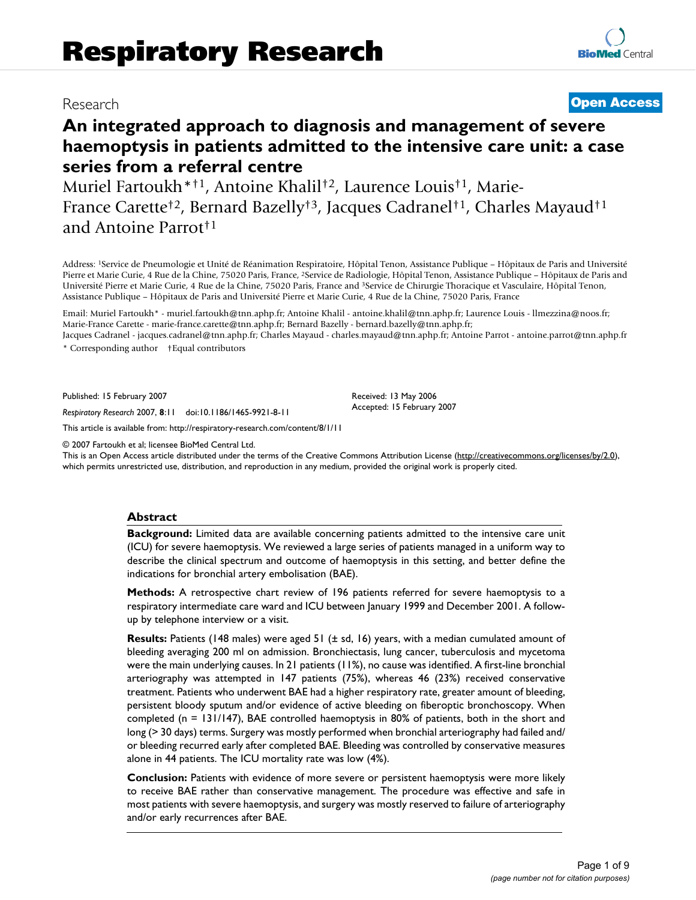# Research **[Open Access](http://www.biomedcentral.com/info/about/charter/)**

# **An integrated approach to diagnosis and management of severe haemoptysis in patients admitted to the intensive care unit: a case series from a referral centre**

Muriel Fartoukh\*†1, Antoine Khalil†2, Laurence Louis†1, Marie-France Carette†2, Bernard Bazelly†3, Jacques Cadranel†1, Charles Mayaud†1 and Antoine Parrot†1

Address: 1Service de Pneumologie et Unité de Réanimation Respiratoire, Hôpital Tenon, Assistance Publique – Hôpitaux de Paris and Université Pierre et Marie Curie, 4 Rue de la Chine, 75020 Paris, France, 2Service de Radiologie, Hôpital Tenon, Assistance Publique – Hôpitaux de Paris and Université Pierre et Marie Curie, 4 Rue de la Chine, 75020 Paris, France and 3Service de Chirurgie Thoracique et Vasculaire, Hôpital Tenon, Assistance Publique – Hôpitaux de Paris and Université Pierre et Marie Curie, 4 Rue de la Chine, 75020 Paris, France

Email: Muriel Fartoukh\* - muriel.fartoukh@tnn.aphp.fr; Antoine Khalil - antoine.khalil@tnn.aphp.fr; Laurence Louis - llmezzina@noos.fr; Marie-France Carette - marie-france.carette@tnn.aphp.fr; Bernard Bazelly - bernard.bazelly@tnn.aphp.fr;

Jacques Cadranel - jacques.cadranel@tnn.aphp.fr; Charles Mayaud - charles.mayaud@tnn.aphp.fr; Antoine Parrot - antoine.parrot@tnn.aphp.fr \* Corresponding author †Equal contributors

> Received: 13 May 2006 Accepted: 15 February 2007

Published: 15 February 2007

*Respiratory Research* 2007, **8**:11 doi:10.1186/1465-9921-8-11

[This article is available from: http://respiratory-research.com/content/8/1/11](http://respiratory-research.com/content/8/1/11)

© 2007 Fartoukh et al; licensee BioMed Central Ltd.

This is an Open Access article distributed under the terms of the Creative Commons Attribution License [\(http://creativecommons.org/licenses/by/2.0\)](http://creativecommons.org/licenses/by/2.0), which permits unrestricted use, distribution, and reproduction in any medium, provided the original work is properly cited.

#### **Abstract**

**Background:** Limited data are available concerning patients admitted to the intensive care unit (ICU) for severe haemoptysis. We reviewed a large series of patients managed in a uniform way to describe the clinical spectrum and outcome of haemoptysis in this setting, and better define the indications for bronchial artery embolisation (BAE).

**Methods:** A retrospective chart review of 196 patients referred for severe haemoptysis to a respiratory intermediate care ward and ICU between January 1999 and December 2001. A followup by telephone interview or a visit.

**Results:** Patients (148 males) were aged 51 ( $\pm$  sd, 16) years, with a median cumulated amount of bleeding averaging 200 ml on admission. Bronchiectasis, lung cancer, tuberculosis and mycetoma were the main underlying causes. In 21 patients (11%), no cause was identified. A first-line bronchial arteriography was attempted in 147 patients (75%), whereas 46 (23%) received conservative treatment. Patients who underwent BAE had a higher respiratory rate, greater amount of bleeding, persistent bloody sputum and/or evidence of active bleeding on fiberoptic bronchoscopy. When completed (n = 131/147), BAE controlled haemoptysis in 80% of patients, both in the short and long (> 30 days) terms. Surgery was mostly performed when bronchial arteriography had failed and/ or bleeding recurred early after completed BAE. Bleeding was controlled by conservative measures alone in 44 patients. The ICU mortality rate was low (4%).

**Conclusion:** Patients with evidence of more severe or persistent haemoptysis were more likely to receive BAE rather than conservative management. The procedure was effective and safe in most patients with severe haemoptysis, and surgery was mostly reserved to failure of arteriography and/or early recurrences after BAE.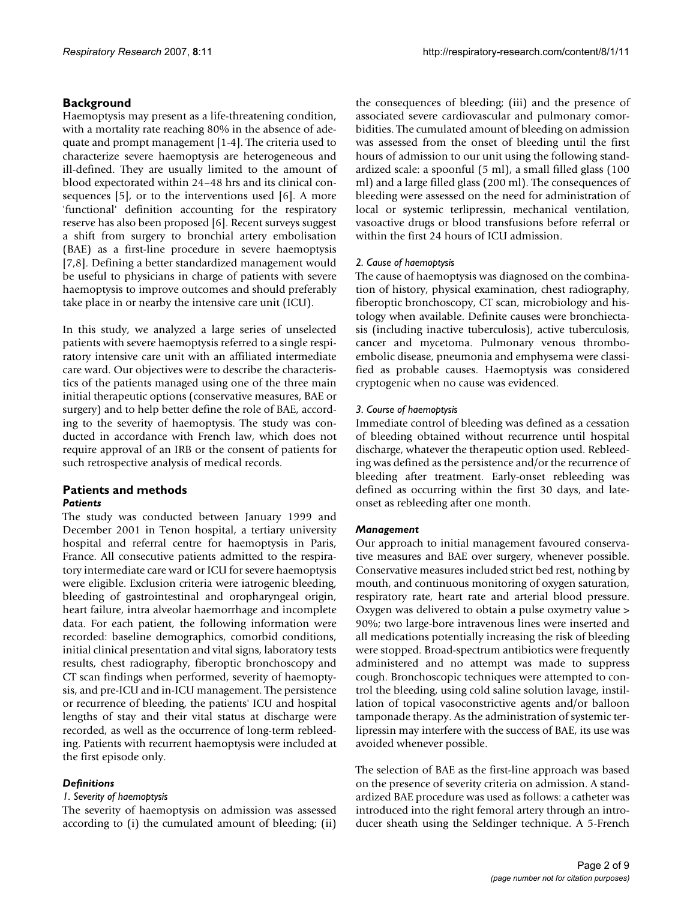# **Background**

Haemoptysis may present as a life-threatening condition, with a mortality rate reaching 80% in the absence of adequate and prompt management [1-4]. The criteria used to characterize severe haemoptysis are heterogeneous and ill-defined. They are usually limited to the amount of blood expectorated within 24–48 hrs and its clinical consequences [5], or to the interventions used [6]. A more 'functional' definition accounting for the respiratory reserve has also been proposed [6]. Recent surveys suggest a shift from surgery to bronchial artery embolisation (BAE) as a first-line procedure in severe haemoptysis [7,8]. Defining a better standardized management would be useful to physicians in charge of patients with severe haemoptysis to improve outcomes and should preferably take place in or nearby the intensive care unit (ICU).

In this study, we analyzed a large series of unselected patients with severe haemoptysis referred to a single respiratory intensive care unit with an affiliated intermediate care ward. Our objectives were to describe the characteristics of the patients managed using one of the three main initial therapeutic options (conservative measures, BAE or surgery) and to help better define the role of BAE, according to the severity of haemoptysis. The study was conducted in accordance with French law, which does not require approval of an IRB or the consent of patients for such retrospective analysis of medical records.

# **Patients and methods** *Patients*

The study was conducted between January 1999 and December 2001 in Tenon hospital, a tertiary university hospital and referral centre for haemoptysis in Paris, France. All consecutive patients admitted to the respiratory intermediate care ward or ICU for severe haemoptysis were eligible. Exclusion criteria were iatrogenic bleeding, bleeding of gastrointestinal and oropharyngeal origin, heart failure, intra alveolar haemorrhage and incomplete data. For each patient, the following information were recorded: baseline demographics, comorbid conditions, initial clinical presentation and vital signs, laboratory tests results, chest radiography, fiberoptic bronchoscopy and CT scan findings when performed, severity of haemoptysis, and pre-ICU and in-ICU management. The persistence or recurrence of bleeding, the patients' ICU and hospital lengths of stay and their vital status at discharge were recorded, as well as the occurrence of long-term rebleeding. Patients with recurrent haemoptysis were included at the first episode only.

# *Definitions*

# *1. Severity of haemoptysis*

The severity of haemoptysis on admission was assessed according to (i) the cumulated amount of bleeding; (ii)

the consequences of bleeding; (iii) and the presence of associated severe cardiovascular and pulmonary comorbidities. The cumulated amount of bleeding on admission was assessed from the onset of bleeding until the first hours of admission to our unit using the following standardized scale: a spoonful (5 ml), a small filled glass (100 ml) and a large filled glass (200 ml). The consequences of bleeding were assessed on the need for administration of local or systemic terlipressin, mechanical ventilation, vasoactive drugs or blood transfusions before referral or within the first 24 hours of ICU admission.

# *2. Cause of haemoptysis*

The cause of haemoptysis was diagnosed on the combination of history, physical examination, chest radiography, fiberoptic bronchoscopy, CT scan, microbiology and histology when available. Definite causes were bronchiectasis (including inactive tuberculosis), active tuberculosis, cancer and mycetoma. Pulmonary venous thromboembolic disease, pneumonia and emphysema were classified as probable causes. Haemoptysis was considered cryptogenic when no cause was evidenced.

# *3. Course of haemoptysis*

Immediate control of bleeding was defined as a cessation of bleeding obtained without recurrence until hospital discharge, whatever the therapeutic option used. Rebleeding was defined as the persistence and/or the recurrence of bleeding after treatment. Early-onset rebleeding was defined as occurring within the first 30 days, and lateonset as rebleeding after one month.

# *Management*

Our approach to initial management favoured conservative measures and BAE over surgery, whenever possible. Conservative measures included strict bed rest, nothing by mouth, and continuous monitoring of oxygen saturation, respiratory rate, heart rate and arterial blood pressure. Oxygen was delivered to obtain a pulse oxymetry value > 90%; two large-bore intravenous lines were inserted and all medications potentially increasing the risk of bleeding were stopped. Broad-spectrum antibiotics were frequently administered and no attempt was made to suppress cough. Bronchoscopic techniques were attempted to control the bleeding, using cold saline solution lavage, instillation of topical vasoconstrictive agents and/or balloon tamponade therapy. As the administration of systemic terlipressin may interfere with the success of BAE, its use was avoided whenever possible.

The selection of BAE as the first-line approach was based on the presence of severity criteria on admission. A standardized BAE procedure was used as follows: a catheter was introduced into the right femoral artery through an introducer sheath using the Seldinger technique. A 5-French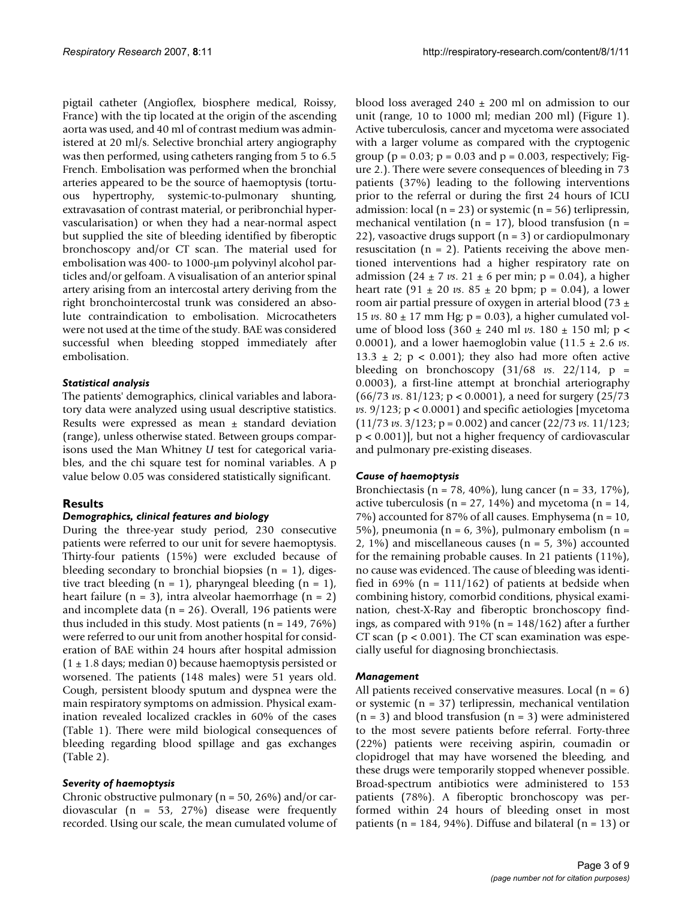pigtail catheter (Angioflex, biosphere medical, Roissy, France) with the tip located at the origin of the ascending aorta was used, and 40 ml of contrast medium was administered at 20 ml/s. Selective bronchial artery angiography was then performed, using catheters ranging from 5 to 6.5 French. Embolisation was performed when the bronchial arteries appeared to be the source of haemoptysis (tortuous hypertrophy, systemic-to-pulmonary shunting, extravasation of contrast material, or peribronchial hypervascularisation) or when they had a near-normal aspect but supplied the site of bleeding identified by fiberoptic bronchoscopy and/or CT scan. The material used for embolisation was 400- to 1000-µm polyvinyl alcohol particles and/or gelfoam. A visualisation of an anterior spinal artery arising from an intercostal artery deriving from the right bronchointercostal trunk was considered an absolute contraindication to embolisation. Microcatheters were not used at the time of the study. BAE was considered successful when bleeding stopped immediately after embolisation.

### *Statistical analysis*

The patients' demographics, clinical variables and laboratory data were analyzed using usual descriptive statistics. Results were expressed as mean  $\pm$  standard deviation (range), unless otherwise stated. Between groups comparisons used the Man Whitney *U* test for categorical variables, and the chi square test for nominal variables. A p value below 0.05 was considered statistically significant.

# **Results**

#### *Demographics, clinical features and biology*

During the three-year study period, 230 consecutive patients were referred to our unit for severe haemoptysis. Thirty-four patients (15%) were excluded because of bleeding secondary to bronchial biopsies  $(n = 1)$ , digestive tract bleeding  $(n = 1)$ , pharyngeal bleeding  $(n = 1)$ , heart failure  $(n = 3)$ , intra alveolar haemorrhage  $(n = 2)$ and incomplete data ( $n = 26$ ). Overall, 196 patients were thus included in this study. Most patients ( $n = 149, 76\%$ ) were referred to our unit from another hospital for consideration of BAE within 24 hours after hospital admission  $(1 \pm 1.8$  days; median 0) because haemoptysis persisted or worsened. The patients (148 males) were 51 years old. Cough, persistent bloody sputum and dyspnea were the main respiratory symptoms on admission. Physical examination revealed localized crackles in 60% of the cases (Table 1). There were mild biological consequences of bleeding regarding blood spillage and gas exchanges (Table 2).

#### *Severity of haemoptysis*

Chronic obstructive pulmonary ( $n = 50$ , 26%) and/or cardiovascular (n = 53, 27%) disease were frequently recorded. Using our scale, the mean cumulated volume of blood loss averaged  $240 \pm 200$  ml on admission to our unit (range, 10 to 1000 ml; median 200 ml) (Figure 1). Active tuberculosis, cancer and mycetoma were associated with a larger volume as compared with the cryptogenic group ( $p = 0.03$ ;  $p = 0.03$  and  $p = 0.003$ , respectively; Figure 2.). There were severe consequences of bleeding in 73 patients (37%) leading to the following interventions prior to the referral or during the first 24 hours of ICU admission: local (n = 23) or systemic (n = 56) terlipressin, mechanical ventilation ( $n = 17$ ), blood transfusion ( $n =$ 22), vasoactive drugs support  $(n = 3)$  or cardiopulmonary resuscitation ( $n = 2$ ). Patients receiving the above mentioned interventions had a higher respiratory rate on admission  $(24 \pm 7 \text{ vs. } 21 \pm 6 \text{ per min}; p = 0.04)$ , a higher heart rate  $(91 \pm 20 \text{ vs. } 85 \pm 20 \text{ bpm}$ ; p = 0.04), a lower room air partial pressure of oxygen in arterial blood (73  $\pm$ 15 *vs*. 80 ± 17 mm Hg; p = 0.03), a higher cumulated volume of blood loss (360 ± 240 ml *vs*. 180 ± 150 ml; p < 0.0001), and a lower haemoglobin value  $(11.5 \pm 2.6 \text{ vs.})$ 13.3  $\pm$  2; p < 0.001); they also had more often active bleeding on bronchoscopy  $(31/68 \text{ vs. } 22/114, p =$ 0.0003), a first-line attempt at bronchial arteriography (66/73 *vs*. 81/123; p < 0.0001), a need for surgery (25/73 *vs*. 9/123; p < 0.0001) and specific aetiologies [mycetoma (11/73 *vs*. 3/123; p = 0.002) and cancer (22/73 *vs*. 11/123; p < 0.001)], but not a higher frequency of cardiovascular and pulmonary pre-existing diseases.

#### *Cause of haemoptysis*

Bronchiectasis (n = 78, 40%), lung cancer (n = 33, 17%), active tuberculosis ( $n = 27$ , 14%) and mycetoma ( $n = 14$ , 7%) accounted for 87% of all causes. Emphysema (n = 10, 5%), pneumonia (n = 6, 3%), pulmonary embolism (n = 2, 1%) and miscellaneous causes ( $n = 5$ , 3%) accounted for the remaining probable causes. In 21 patients (11%), no cause was evidenced. The cause of bleeding was identified in 69% ( $n = 111/162$ ) of patients at bedside when combining history, comorbid conditions, physical examination, chest-X-Ray and fiberoptic bronchoscopy findings, as compared with  $91\%$  (n =  $148/162$ ) after a further CT scan ( $p < 0.001$ ). The CT scan examination was especially useful for diagnosing bronchiectasis.

#### *Management*

All patients received conservative measures. Local  $(n = 6)$ or systemic (n = 37) terlipressin, mechanical ventilation  $(n = 3)$  and blood transfusion  $(n = 3)$  were administered to the most severe patients before referral. Forty-three (22%) patients were receiving aspirin, coumadin or clopidrogel that may have worsened the bleeding, and these drugs were temporarily stopped whenever possible. Broad-spectrum antibiotics were administered to 153 patients (78%). A fiberoptic bronchoscopy was performed within 24 hours of bleeding onset in most patients ( $n = 184$ , 94%). Diffuse and bilateral ( $n = 13$ ) or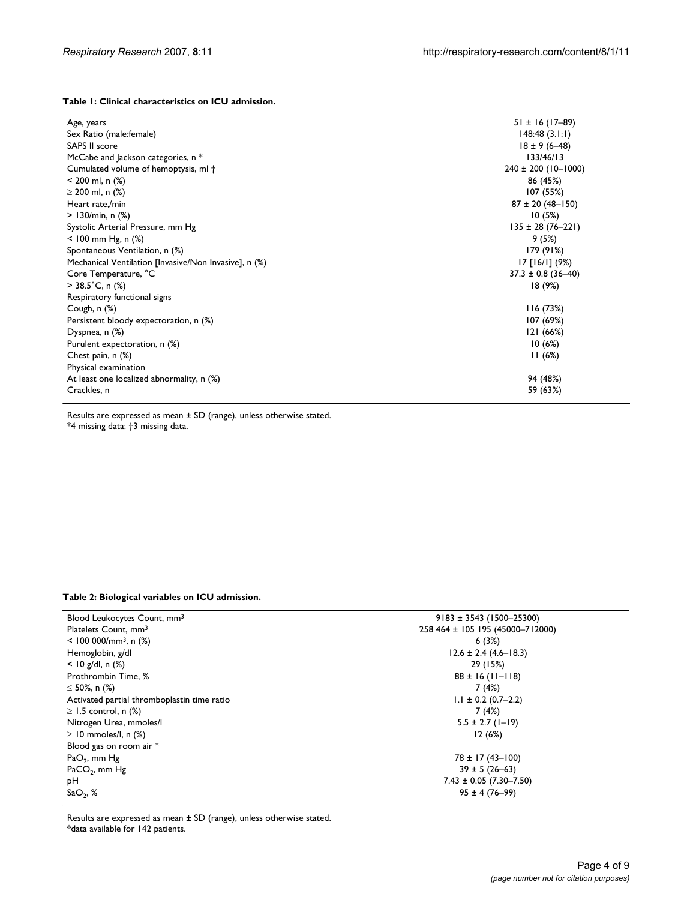#### **Table 1: Clinical characteristics on ICU admission.**

| Age, years                                            | $51 \pm 16$ (17-89)     |
|-------------------------------------------------------|-------------------------|
| Sex Ratio (male: female)                              | 148:48(3.1:1)           |
| <b>SAPS II score</b>                                  | $18 \pm 9(6 - 48)$      |
| McCabe and Jackson categories, n *                    | 133/46/13               |
| Cumulated volume of hemoptysis, ml +                  | $240 \pm 200$ (10-1000) |
| $<$ 200 ml, n $(\%)$                                  | 86 (45%)                |
| $\geq$ 200 ml, n (%)                                  | 107 (55%)               |
| Heart rate,/min                                       | $87 \pm 20 (48 - 150)$  |
| $> 130/min, n$ (%)                                    | 10(5%)                  |
| Systolic Arterial Pressure, mm Hg                     | $135 \pm 28 (76 - 221)$ |
| $<$ 100 mm Hg, n $(\%)$                               | 9(5%)                   |
| Spontaneous Ventilation, n (%)                        | 179 (91%)               |
| Mechanical Ventilation [Invasive/Non Invasive], n (%) | $17$ [16/1] (9%)        |
| Core Temperature, °C                                  | $37.3 \pm 0.8$ (36-40)  |
| $>$ 38.5°C, n (%)                                     | 18 (9%)                 |
| Respiratory functional signs                          |                         |
| Cough, n (%)                                          | 116(73%)                |
| Persistent bloody expectoration, n (%)                | 107 (69%)               |
| Dyspnea, n (%)                                        | 121(66%)                |
| Purulent expectoration, n (%)                         | 10(6%)                  |
| Chest pain, n (%)                                     | 11(6%)                  |
| Physical examination                                  |                         |
| At least one localized abnormality, n (%)             | 94 (48%)                |
| Crackles, n                                           | 59 (63%)                |
|                                                       |                         |

Results are expressed as mean ± SD (range), unless otherwise stated. \*4 missing data; †3 missing data.

#### **Table 2: Biological variables on ICU admission.**

| Blood Leukocytes Count, mm <sup>3</sup>     | $9183 \pm 3543$ (1500-25300)     |
|---------------------------------------------|----------------------------------|
| Platelets Count, mm <sup>3</sup>            | 258 464 ± 105 195 (45000-712000) |
| $<$ 100 000/mm <sup>3</sup> , n (%)         | 6(3%)                            |
| Hemoglobin, g/dl                            | $12.6 \pm 2.4 (4.6 - 18.3)$      |
| $<$ 10 g/dl, n (%)                          | 29 (15%)                         |
| Prothrombin Time, %                         | $88 \pm 16$ (11-118)             |
| $\leq$ 50%, n (%)                           | 7(4%)                            |
| Activated partial thromboplastin time ratio | $1.1 \pm 0.2$ (0.7–2.2)          |
| $\geq$ 1.5 control, n (%)                   | 7(4%)                            |
| Nitrogen Urea, mmoles/l                     | $5.5 \pm 2.7$ (1-19)             |
| $\geq$ 10 mmoles/l, n (%)                   | 12(6%)                           |
| Blood gas on room air *                     |                                  |
| $PaO2$ , mm Hg                              | $78 \pm 17(43 - 100)$            |
| $PaCO2$ , mm Hg                             | $39 \pm 5 (26 - 63)$             |
| рH                                          | $7.43 \pm 0.05$ (7.30-7.50)      |
| SaO <sub>2</sub> , %                        | $95 \pm 4 (76 - 99)$             |
|                                             |                                  |

Results are expressed as mean ± SD (range), unless otherwise stated. \*data available for 142 patients.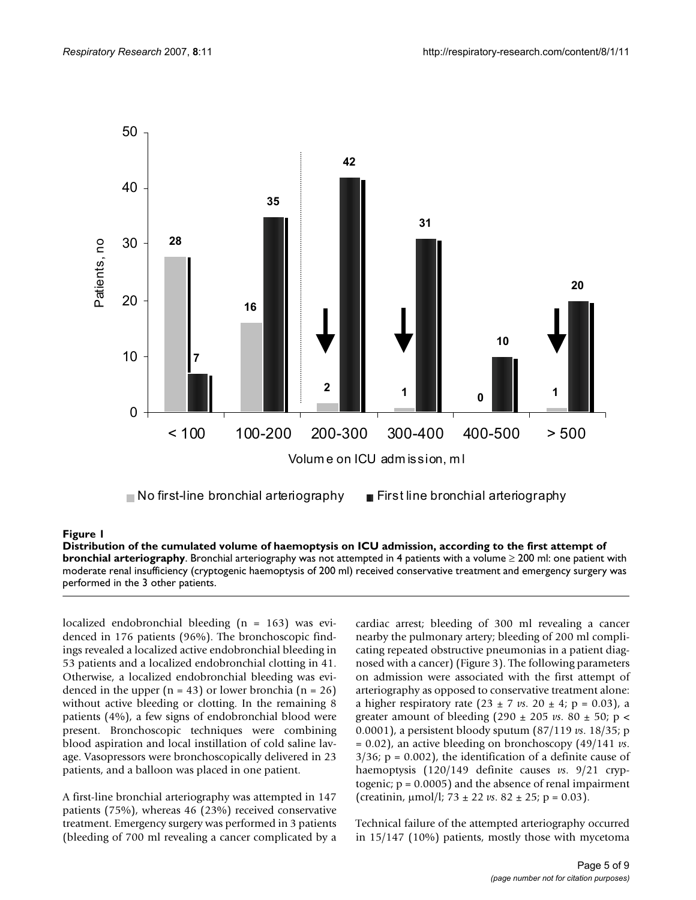

### Distribution of the cumulated volume of ha phy **Figure 1** emoptysis on ICU admission, according to the first attempt of bronchial arteriogra-

**Distribution of the cumulated volume of haemoptysis on ICU admission, according to the first attempt of bronchial arteriography**. Bronchial arteriography was not attempted in 4 patients with a volume ≥ 200 ml: one patient with moderate renal insufficiency (cryptogenic haemoptysis of 200 ml) received conservative treatment and emergency surgery was performed in the 3 other patients.

localized endobronchial bleeding (n = 163) was evidenced in 176 patients (96%). The bronchoscopic findings revealed a localized active endobronchial bleeding in 53 patients and a localized endobronchial clotting in 41. Otherwise, a localized endobronchial bleeding was evidenced in the upper  $(n = 43)$  or lower bronchia  $(n = 26)$ without active bleeding or clotting. In the remaining 8 patients (4%), a few signs of endobronchial blood were present. Bronchoscopic techniques were combining blood aspiration and local instillation of cold saline lavage. Vasopressors were bronchoscopically delivered in 23 patients, and a balloon was placed in one patient.

A first-line bronchial arteriography was attempted in 147 patients (75%), whereas 46 (23%) received conservative treatment. Emergency surgery was performed in 3 patients (bleeding of 700 ml revealing a cancer complicated by a cardiac arrest; bleeding of 300 ml revealing a cancer nearby the pulmonary artery; bleeding of 200 ml complicating repeated obstructive pneumonias in a patient diagnosed with a cancer) (Figure 3). The following parameters on admission were associated with the first attempt of arteriography as opposed to conservative treatment alone: a higher respiratory rate  $(23 \pm 7 \text{ vs. } 20 \pm 4; \, p = 0.03)$ , a greater amount of bleeding (290  $\pm$  205 *vs*. 80  $\pm$  50; p < 0.0001), a persistent bloody sputum (87/119 *vs*. 18/35; p = 0.02), an active bleeding on bronchoscopy (49/141 *vs*.  $3/36$ ; p = 0.002), the identification of a definite cause of haemoptysis (120/149 definite causes *vs*. 9/21 cryptogenic; p = 0.0005) and the absence of renal impairment (creatinin,  $\mu$ mol/l; 73  $\pm$  22 *vs*. 82  $\pm$  25; p = 0.03).

Technical failure of the attempted arteriography occurred in 15/147 (10%) patients, mostly those with mycetoma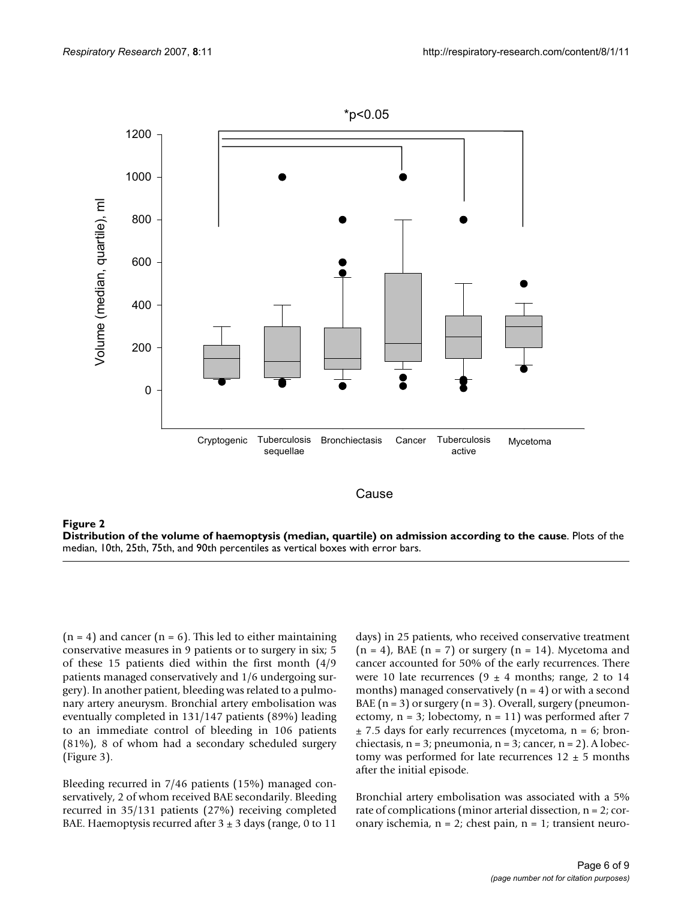

Distribution of the volume of ha **Figure 2** emoptysis (median, quartile) on admission according to the cause **Distribution of the volume of haemoptysis (median, quartile) on admission according to the cause**. Plots of the median, 10th, 25th, 75th, and 90th percentiles as vertical boxes with error bars.

 $(n = 4)$  and cancer  $(n = 6)$ . This led to either maintaining conservative measures in 9 patients or to surgery in six; 5 of these 15 patients died within the first month (4/9 patients managed conservatively and 1/6 undergoing surgery). In another patient, bleeding was related to a pulmonary artery aneurysm. Bronchial artery embolisation was eventually completed in 131/147 patients (89%) leading to an immediate control of bleeding in 106 patients (81%), 8 of whom had a secondary scheduled surgery (Figure 3).

Bleeding recurred in 7/46 patients (15%) managed conservatively, 2 of whom received BAE secondarily. Bleeding recurred in 35/131 patients (27%) receiving completed BAE. Haemoptysis recurred after  $3 \pm 3$  days (range, 0 to 11

days) in 25 patients, who received conservative treatment  $(n = 4)$ , BAE  $(n = 7)$  or surgery  $(n = 14)$ . Mycetoma and cancer accounted for 50% of the early recurrences. There were 10 late recurrences (9  $\pm$  4 months; range, 2 to 14 months) managed conservatively  $(n = 4)$  or with a second BAE  $(n = 3)$  or surgery  $(n = 3)$ . Overall, surgery (pneumonectomy,  $n = 3$ ; lobectomy,  $n = 11$ ) was performed after 7  $±$  7.5 days for early recurrences (mycetoma, n = 6; bronchiectasis,  $n = 3$ ; pneumonia,  $n = 3$ ; cancer,  $n = 2$ ). A lobectomy was performed for late recurrences  $12 \pm 5$  months after the initial episode.

Bronchial artery embolisation was associated with a 5% rate of complications (minor arterial dissection, n = 2; coronary ischemia,  $n = 2$ ; chest pain,  $n = 1$ ; transient neuro-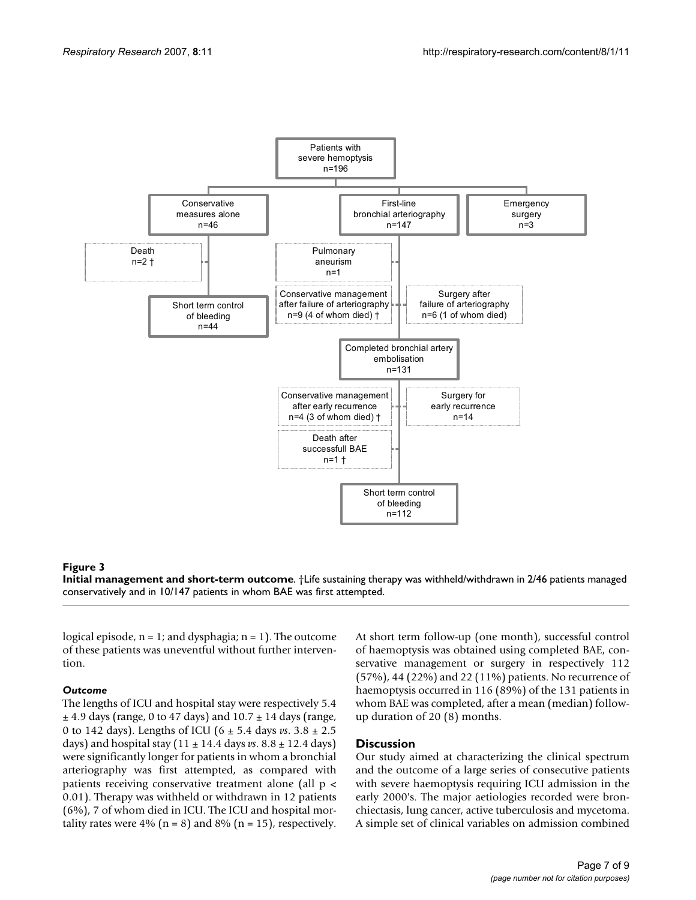

#### **Figure 3**

**Initial management and short-term outcome**. †Life sustaining therapy was withheld/withdrawn in 2/46 patients managed conservatively and in 10/147 patients in whom BAE was first attempted.

logical episode,  $n = 1$ ; and dysphagia;  $n = 1$ ). The outcome of these patients was uneventful without further intervention.

#### *Outcome*

The lengths of ICU and hospital stay were respectively 5.4  $\pm$  4.9 days (range, 0 to 47 days) and 10.7  $\pm$  14 days (range, 0 to 142 days). Lengths of ICU (6 ± 5.4 days *vs*. 3.8 ± 2.5 days) and hospital stay (11 ± 14.4 days *vs*. 8.8 ± 12.4 days) were significantly longer for patients in whom a bronchial arteriography was first attempted, as compared with patients receiving conservative treatment alone (all p < 0.01). Therapy was withheld or withdrawn in 12 patients (6%), 7 of whom died in ICU. The ICU and hospital mortality rates were 4% ( $n = 8$ ) and 8% ( $n = 15$ ), respectively.

At short term follow-up (one month), successful control of haemoptysis was obtained using completed BAE, conservative management or surgery in respectively 112 (57%), 44 (22%) and 22 (11%) patients. No recurrence of haemoptysis occurred in 116 (89%) of the 131 patients in whom BAE was completed, after a mean (median) followup duration of 20 (8) months.

#### **Discussion**

Our study aimed at characterizing the clinical spectrum and the outcome of a large series of consecutive patients with severe haemoptysis requiring ICU admission in the early 2000's. The major aetiologies recorded were bronchiectasis, lung cancer, active tuberculosis and mycetoma. A simple set of clinical variables on admission combined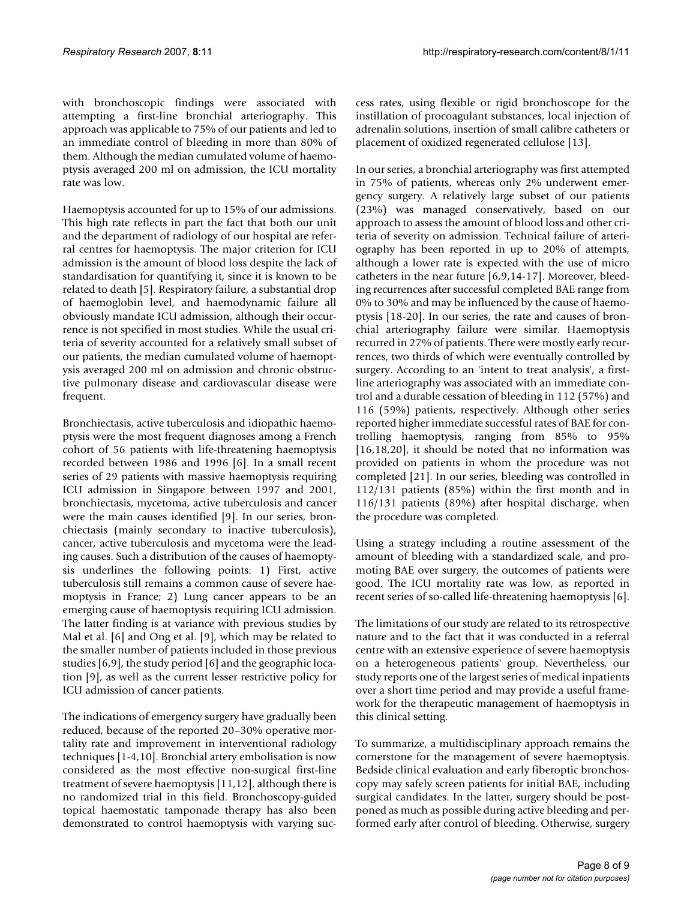with bronchoscopic findings were associated with attempting a first-line bronchial arteriography. This approach was applicable to 75% of our patients and led to an immediate control of bleeding in more than 80% of them. Although the median cumulated volume of haemoptysis averaged 200 ml on admission, the ICU mortality rate was low.

Haemoptysis accounted for up to 15% of our admissions. This high rate reflects in part the fact that both our unit and the department of radiology of our hospital are referral centres for haemoptysis. The major criterion for ICU admission is the amount of blood loss despite the lack of standardisation for quantifying it, since it is known to be related to death [5]. Respiratory failure, a substantial drop of haemoglobin level, and haemodynamic failure all obviously mandate ICU admission, although their occurrence is not specified in most studies. While the usual criteria of severity accounted for a relatively small subset of our patients, the median cumulated volume of haemoptysis averaged 200 ml on admission and chronic obstructive pulmonary disease and cardiovascular disease were frequent.

Bronchiectasis, active tuberculosis and idiopathic haemoptysis were the most frequent diagnoses among a French cohort of 56 patients with life-threatening haemoptysis recorded between 1986 and 1996 [6]. In a small recent series of 29 patients with massive haemoptysis requiring ICU admission in Singapore between 1997 and 2001, bronchiectasis, mycetoma, active tuberculosis and cancer were the main causes identified [9]. In our series, bronchiectasis (mainly secondary to inactive tuberculosis), cancer, active tuberculosis and mycetoma were the leading causes. Such a distribution of the causes of haemoptysis underlines the following points: 1) First, active tuberculosis still remains a common cause of severe haemoptysis in France; 2) Lung cancer appears to be an emerging cause of haemoptysis requiring ICU admission. The latter finding is at variance with previous studies by Mal et al. [6] and Ong et al. [9], which may be related to the smaller number of patients included in those previous studies [6,9], the study period [6] and the geographic location [9], as well as the current lesser restrictive policy for ICU admission of cancer patients.

The indications of emergency surgery have gradually been reduced, because of the reported 20–30% operative mortality rate and improvement in interventional radiology techniques [1-4,10]. Bronchial artery embolisation is now considered as the most effective non-surgical first-line treatment of severe haemoptysis [11,12], although there is no randomized trial in this field. Bronchoscopy-guided topical haemostatic tamponade therapy has also been demonstrated to control haemoptysis with varying success rates, using flexible or rigid bronchoscope for the instillation of procoagulant substances, local injection of adrenalin solutions, insertion of small calibre catheters or placement of oxidized regenerated cellulose [13].

In our series, a bronchial arteriography was first attempted in 75% of patients, whereas only 2% underwent emergency surgery. A relatively large subset of our patients (23%) was managed conservatively, based on our approach to assess the amount of blood loss and other criteria of severity on admission. Technical failure of arteriography has been reported in up to 20% of attempts, although a lower rate is expected with the use of micro catheters in the near future [6,9,14-17]. Moreover, bleeding recurrences after successful completed BAE range from 0% to 30% and may be influenced by the cause of haemoptysis [18-20]. In our series, the rate and causes of bronchial arteriography failure were similar. Haemoptysis recurred in 27% of patients. There were mostly early recurrences, two thirds of which were eventually controlled by surgery. According to an 'intent to treat analysis', a firstline arteriography was associated with an immediate control and a durable cessation of bleeding in 112 (57%) and 116 (59%) patients, respectively. Although other series reported higher immediate successful rates of BAE for controlling haemoptysis, ranging from 85% to 95% [16,18,20], it should be noted that no information was provided on patients in whom the procedure was not completed [21]. In our series, bleeding was controlled in 112/131 patients (85%) within the first month and in 116/131 patients (89%) after hospital discharge, when the procedure was completed.

Using a strategy including a routine assessment of the amount of bleeding with a standardized scale, and promoting BAE over surgery, the outcomes of patients were good. The ICU mortality rate was low, as reported in recent series of so-called life-threatening haemoptysis [6].

The limitations of our study are related to its retrospective nature and to the fact that it was conducted in a referral centre with an extensive experience of severe haemoptysis on a heterogeneous patients' group. Nevertheless, our study reports one of the largest series of medical inpatients over a short time period and may provide a useful framework for the therapeutic management of haemoptysis in this clinical setting.

To summarize, a multidisciplinary approach remains the cornerstone for the management of severe haemoptysis. Bedside clinical evaluation and early fiberoptic bronchoscopy may safely screen patients for initial BAE, including surgical candidates. In the latter, surgery should be postponed as much as possible during active bleeding and performed early after control of bleeding. Otherwise, surgery